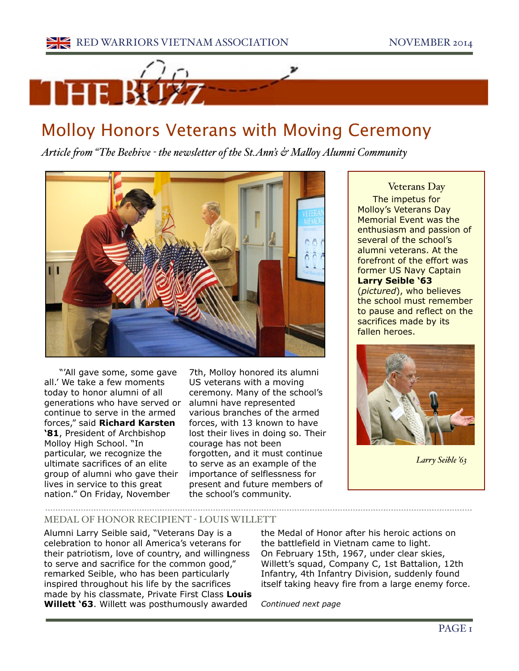

## Molloy Honors Veterans with Moving Ceremony

*Article fom "The Beehive - the newsletter of the St.Ann's & Maloy Alumni Community*



"'All gave some, some gave all.' We take a few moments today to honor alumni of all generations who have served or continue to serve in the armed forces," said **Richard Karsten '81**, President of Archbishop Molloy High School. "In particular, we recognize the ultimate sacrifices of an elite group of alumni who gave their lives in service to this great nation." On Friday, November

7th, Molloy honored its alumni US veterans with a moving ceremony. Many of the school's alumni have represented various branches of the armed forces, with 13 known to have lost their lives in doing so. Their courage has not been forgotten, and it must continue to serve as an example of the importance of selflessness for present and future members of the school's community.

Veterans Day The impetus for Molloy's Veterans Day Memorial Event was the enthusiasm and passion of several of the school's alumni veterans. At the forefront of the effort was former US Navy Captain **Larry Seible '63** (*pictured*), who believes the school must remember to pause and reflect on the sacrifices made by its fallen heroes.



*Larry Seible '63*

## MEDAL OF HONOR RECIPIENT - LOUIS WILLETT

Alumni Larry Seible said, "Veterans Day is a celebration to honor all America's veterans for their patriotism, love of country, and willingness to serve and sacrifice for the common good," remarked Seible, who has been particularly inspired throughout his life by the sacrifices made by his classmate, Private First Class **Louis Willett '63**. Willett was posthumously awarded

the Medal of Honor after his heroic actions on the battlefield in Vietnam came to light. On February 15th, 1967, under clear skies, Willett's squad, Company C, 1st Battalion, 12th Infantry, 4th Infantry Division, suddenly found itself taking heavy fire from a large enemy force.

------------------------------------

*Continued next page*